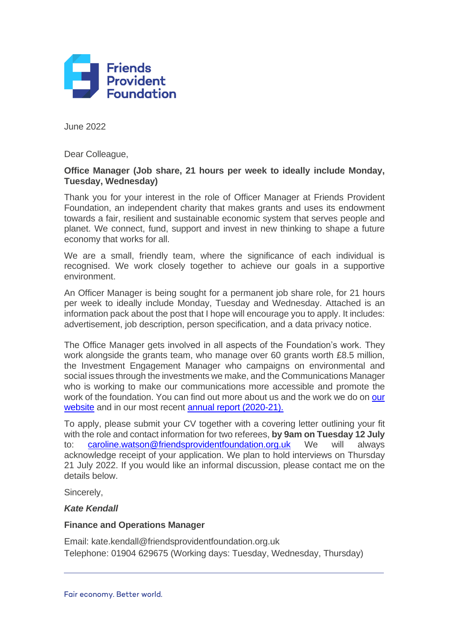

June 2022

Dear Colleague,

#### **Office Manager (Job share, 21 hours per week to ideally include Monday, Tuesday, Wednesday)**

Thank you for your interest in the role of Officer Manager at Friends Provident Foundation, an independent charity that makes grants and uses its endowment towards a fair, resilient and sustainable economic system that serves people and planet. We connect, fund, support and invest in new thinking to shape a future economy that works for all.

We are a small, friendly team, where the significance of each individual is recognised. We work closely together to achieve our goals in a supportive environment.

An Officer Manager is being sought for a permanent job share role, for 21 hours per week to ideally include Monday, Tuesday and Wednesday. Attached is an information pack about the post that I hope will encourage you to apply. It includes: advertisement, job description, person specification, and a data privacy notice.

The Office Manager gets involved in all aspects of the Foundation's work. They work alongside the grants team, who manage over 60 grants worth £8.5 million, the Investment Engagement Manager who campaigns on environmental and social issues through the investments we make, and the Communications Manager who is working to make our communications more accessible and promote the work of the foundation. You can find out more about us and the work we do on our [website](http://www.friendsprovidentfoundation.org.uk/) and in our most recent [annual report \(2020-21\).](https://www.friendsprovidentfoundation.org/library/resources/report-financial-statements-2020-21/)

To apply, please submit your CV together with a covering letter outlining your fit with the role and contact information for two referees, **by 9am on Tuesday 12 July**  to: [caroline.watson@friendsprovidentfoundation.org.uk](mailto:caroline.watson@friendsprovidentfoundation.org.uk) We will always acknowledge receipt of your application. We plan to hold interviews on Thursday 21 July 2022. If you would like an informal discussion, please contact me on the details below.

Sincerely,

#### *Kate Kendall*

#### **Finance and Operations Manager**

Email: kate.kendall@friendsprovidentfoundation.org.uk Telephone: 01904 629675 (Working days: Tuesday, Wednesday, Thursday)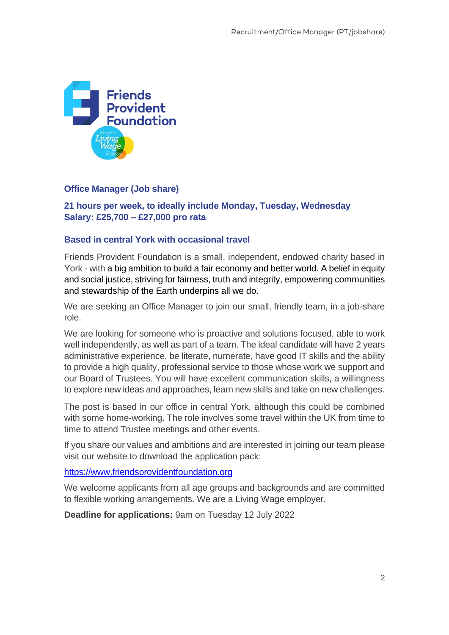

#### **Office Manager (Job share)**

**21 hours per week, to ideally include Monday, Tuesday, Wednesday Salary: £25,700 – £27,000 pro rata** 

#### **Based in central York with occasional travel**

Friends Provident Foundation is a small, independent, endowed charity based in York - with a big ambition to build a fair economy and better world. A belief in equity and social justice, striving for fairness, truth and integrity, empowering communities and stewardship of the Earth underpins all we do.

We are seeking an Office Manager to join our small, friendly team, in a job-share role.

We are looking for someone who is proactive and solutions focused, able to work well independently, as well as part of a team. The ideal candidate will have 2 years administrative experience, be literate, numerate, have good IT skills and the ability to provide a high quality, professional service to those whose work we support and our Board of Trustees. You will have excellent communication skills, a willingness to explore new ideas and approaches, learn new skills and take on new challenges.

The post is based in our office in central York, although this could be combined with some home-working. The role involves some travel within the UK from time to time to attend Trustee meetings and other events.

If you share our values and ambitions and are interested in joining our team please visit our website to download the application pack:

[https://www.friendsprovidentfoundation.org](https://www.friendsprovidentfoundation.org/)

We welcome applicants from all age groups and backgrounds and are committed to flexible working arrangements. We are a Living Wage employer.

**Deadline for applications:** 9am on Tuesday 12 July 2022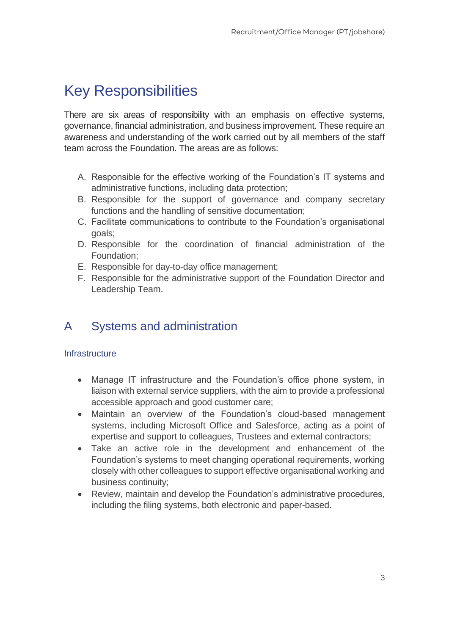# Key Responsibilities

There are six areas of responsibility with an emphasis on effective systems, governance, financial administration, and business improvement. These require an awareness and understanding of the work carried out by all members of the staff team across the Foundation. The areas are as follows:

- A. Responsible for the effective working of the Foundation's IT systems and administrative functions, including data protection;
- B. Responsible for the support of governance and company secretary functions and the handling of sensitive documentation;
- C. Facilitate communications to contribute to the Foundation's organisational goals;
- D. Responsible for the coordination of financial administration of the Foundation;
- E. Responsible for day-to-day office management;
- F. Responsible for the administrative support of the Foundation Director and Leadership Team.

# A Systems and administration

#### **Infrastructure**

- Manage IT infrastructure and the Foundation's office phone system, in liaison with external service suppliers, with the aim to provide a professional accessible approach and good customer care;
- Maintain an overview of the Foundation's cloud-based management systems, including Microsoft Office and Salesforce, acting as a point of expertise and support to colleagues, Trustees and external contractors;
- Take an active role in the development and enhancement of the Foundation's systems to meet changing operational requirements, working closely with other colleagues to support effective organisational working and business continuity;
- Review, maintain and develop the Foundation's administrative procedures, including the filing systems, both electronic and paper-based.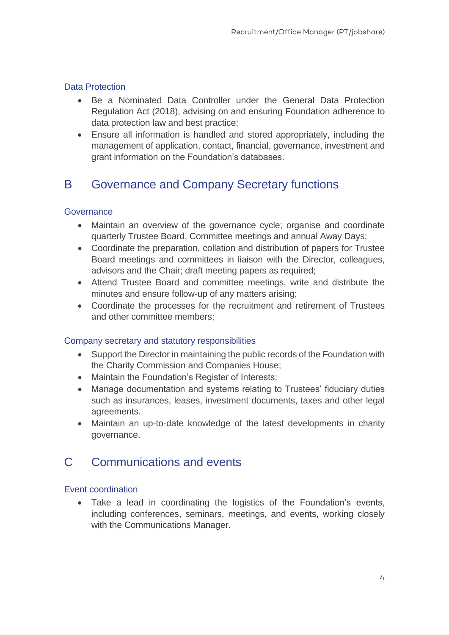#### Data Protection

- Be a Nominated Data Controller under the General Data Protection Regulation Act (2018), advising on and ensuring Foundation adherence to data protection law and best practice;
- Ensure all information is handled and stored appropriately, including the management of application, contact, financial, governance, investment and grant information on the Foundation's databases.

# B Governance and Company Secretary functions

#### **Governance**

- Maintain an overview of the governance cycle; organise and coordinate quarterly Trustee Board, Committee meetings and annual Away Days;
- Coordinate the preparation, collation and distribution of papers for Trustee Board meetings and committees in liaison with the Director, colleagues, advisors and the Chair; draft meeting papers as required;
- Attend Trustee Board and committee meetings, write and distribute the minutes and ensure follow-up of any matters arising;
- Coordinate the processes for the recruitment and retirement of Trustees and other committee members;

#### Company secretary and statutory responsibilities

- Support the Director in maintaining the public records of the Foundation with the Charity Commission and Companies House;
- Maintain the Foundation's Register of Interests;
- Manage documentation and systems relating to Trustees' fiduciary duties such as insurances, leases, investment documents, taxes and other legal agreements.
- Maintain an up-to-date knowledge of the latest developments in charity governance.

### C Communications and events

#### Event coordination

• Take a lead in coordinating the logistics of the Foundation's events, including conferences, seminars, meetings, and events, working closely with the Communications Manager.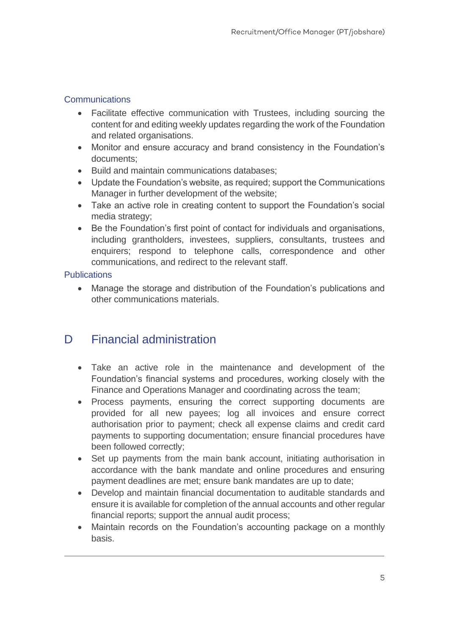#### **Communications**

- Facilitate effective communication with Trustees, including sourcing the content for and editing weekly updates regarding the work of the Foundation and related organisations.
- Monitor and ensure accuracy and brand consistency in the Foundation's documents;
- Build and maintain communications databases;
- Update the Foundation's website, as required; support the Communications Manager in further development of the website;
- Take an active role in creating content to support the Foundation's social media strategy;
- Be the Foundation's first point of contact for individuals and organisations, including grantholders, investees, suppliers, consultants, trustees and enquirers; respond to telephone calls, correspondence and other communications, and redirect to the relevant staff.

#### **Publications**

• Manage the storage and distribution of the Foundation's publications and other communications materials.

# D Financial administration

- Take an active role in the maintenance and development of the Foundation's financial systems and procedures, working closely with the Finance and Operations Manager and coordinating across the team;
- Process payments, ensuring the correct supporting documents are provided for all new payees; log all invoices and ensure correct authorisation prior to payment; check all expense claims and credit card payments to supporting documentation; ensure financial procedures have been followed correctly;
- Set up payments from the main bank account, initiating authorisation in accordance with the bank mandate and online procedures and ensuring payment deadlines are met; ensure bank mandates are up to date;
- Develop and maintain financial documentation to auditable standards and ensure it is available for completion of the annual accounts and other regular financial reports; support the annual audit process;
- Maintain records on the Foundation's accounting package on a monthly basis.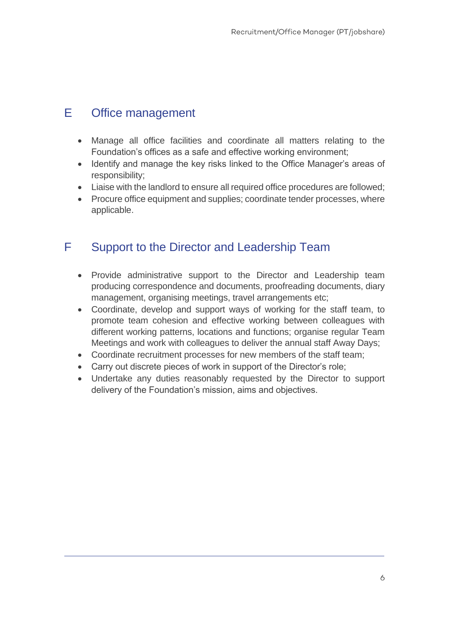# E Office management

- Manage all office facilities and coordinate all matters relating to the Foundation's offices as a safe and effective working environment;
- Identify and manage the key risks linked to the Office Manager's areas of responsibility;
- Liaise with the landlord to ensure all required office procedures are followed;
- Procure office equipment and supplies; coordinate tender processes, where applicable.

# F Support to the Director and Leadership Team

- Provide administrative support to the Director and Leadership team producing correspondence and documents, proofreading documents, diary management, organising meetings, travel arrangements etc;
- Coordinate, develop and support ways of working for the staff team, to promote team cohesion and effective working between colleagues with different working patterns, locations and functions; organise regular Team Meetings and work with colleagues to deliver the annual staff Away Days;
- Coordinate recruitment processes for new members of the staff team;
- Carry out discrete pieces of work in support of the Director's role;
- Undertake any duties reasonably requested by the Director to support delivery of the Foundation's mission, aims and objectives.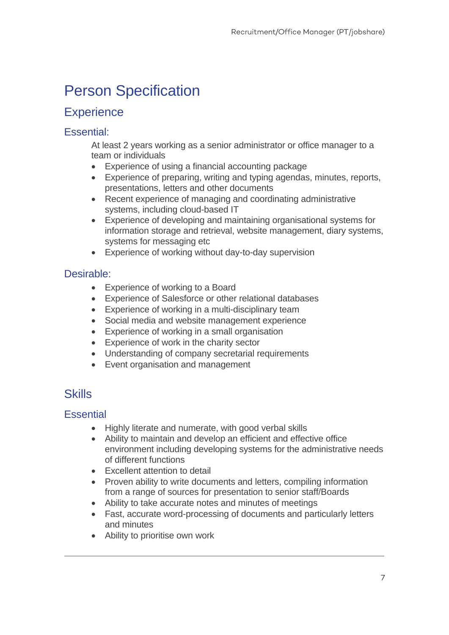# Person Specification

## **Experience**

### Essential:

At least 2 years working as a senior administrator or office manager to a team or individuals

- Experience of using a financial accounting package
- Experience of preparing, writing and typing agendas, minutes, reports, presentations, letters and other documents
- Recent experience of managing and coordinating administrative systems, including cloud-based IT
- Experience of developing and maintaining organisational systems for information storage and retrieval, website management, diary systems, systems for messaging etc
- Experience of working without day-to-day supervision

### Desirable:

- Experience of working to a Board
- Experience of Salesforce or other relational databases
- Experience of working in a multi-disciplinary team
- Social media and website management experience
- Experience of working in a small organisation
- Experience of work in the charity sector
- Understanding of company secretarial requirements
- Event organisation and management

# **Skills**

### **Essential**

- Highly literate and numerate, with good verbal skills
- Ability to maintain and develop an efficient and effective office environment including developing systems for the administrative needs of different functions
- Excellent attention to detail
- Proven ability to write documents and letters, compiling information from a range of sources for presentation to senior staff/Boards
- Ability to take accurate notes and minutes of meetings
- Fast, accurate word-processing of documents and particularly letters and minutes
- Ability to prioritise own work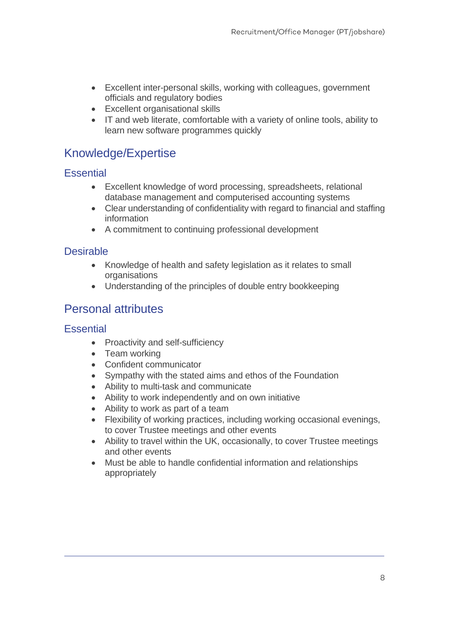- Excellent inter-personal skills, working with colleagues, government officials and regulatory bodies
- Excellent organisational skills
- IT and web literate, comfortable with a variety of online tools, ability to learn new software programmes quickly

# Knowledge/Expertise

### **Essential**

- Excellent knowledge of word processing, spreadsheets, relational database management and computerised accounting systems
- Clear understanding of confidentiality with regard to financial and staffing information
- A commitment to continuing professional development

### **Desirable**

- Knowledge of health and safety legislation as it relates to small **organisations**
- Understanding of the principles of double entry bookkeeping

## Personal attributes

### **Essential**

- Proactivity and self-sufficiency
- Team working
- Confident communicator
- Sympathy with the stated aims and ethos of the Foundation
- Ability to multi-task and communicate
- Ability to work independently and on own initiative
- Ability to work as part of a team
- Flexibility of working practices, including working occasional evenings, to cover Trustee meetings and other events
- Ability to travel within the UK, occasionally, to cover Trustee meetings and other events
- Must be able to handle confidential information and relationships appropriately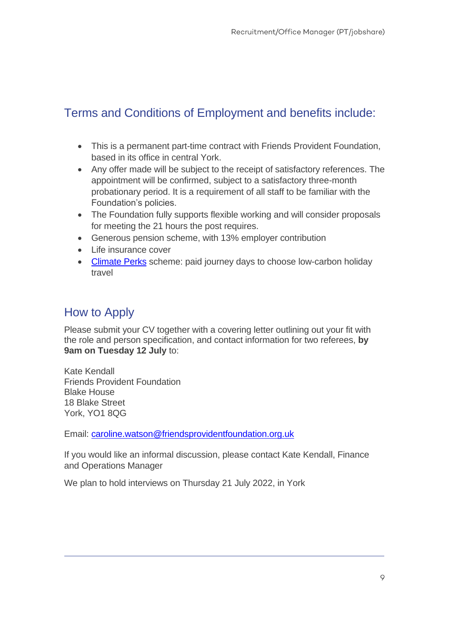# Terms and Conditions of Employment and benefits include:

- This is a permanent part-time contract with Friends Provident Foundation, based in its office in central York.
- Any offer made will be subject to the receipt of satisfactory references. The appointment will be confirmed, subject to a satisfactory three-month probationary period. It is a requirement of all staff to be familiar with the Foundation's policies.
- The Foundation fully supports flexible working and will consider proposals for meeting the 21 hours the post requires.
- Generous pension scheme, with 13% employer contribution
- Life insurance cover
- [Climate Perks](https://www.climateperks.com/) scheme: paid journey days to choose low-carbon holiday travel

# How to Apply

Please submit your CV together with a covering letter outlining out your fit with the role and person specification, and contact information for two referees, **by 9am on Tuesday 12 July** to:

Kate Kendall Friends Provident Foundation Blake House 18 Blake Street York, YO1 8QG

Email: [caroline.watson@friendsprovidentfoundation.org.uk](mailto:caroline.watson@friendsprovidentfoundation.org.uk)

If you would like an informal discussion, please contact Kate Kendall, Finance and Operations Manager

We plan to hold interviews on Thursday 21 July 2022, in York